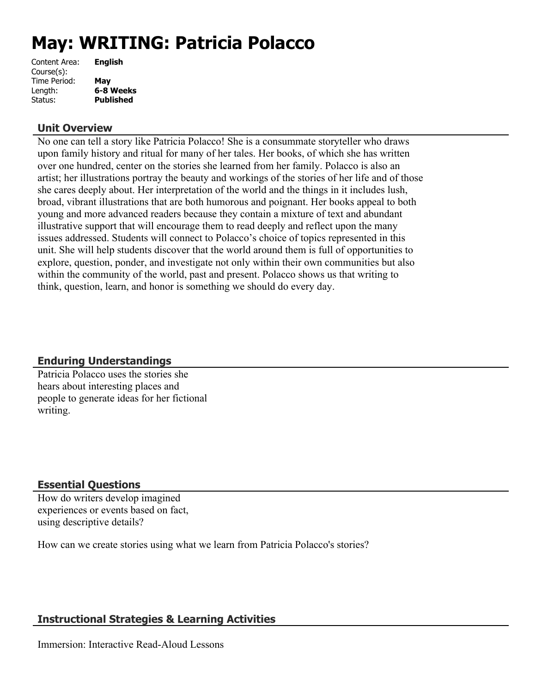# **May: WRITING: Patricia Polacco**

| Content Area: | <b>English</b>   |
|---------------|------------------|
| Course(s):    |                  |
| Time Period:  | May              |
| Length:       | 6-8 Weeks        |
| Status:       | <b>Published</b> |
|               |                  |

## **Unit Overview**

No one can tell a story like Patricia Polacco! She is a consummate storyteller who draws upon family history and ritual for many of her tales. Her books, of which she has written over one hundred, center on the stories she learned from her family. Polacco is also an artist; her illustrations portray the beauty and workings of the stories of her life and of those she cares deeply about. Her interpretation of the world and the things in it includes lush, broad, vibrant illustrations that are both humorous and poignant. Her books appeal to both young and more advanced readers because they contain a mixture of text and abundant illustrative support that will encourage them to read deeply and reflect upon the many issues addressed. Students will connect to Polacco's choice of topics represented in this unit. She will help students discover that the world around them is full of opportunities to explore, question, ponder, and investigate not only within their own communities but also within the community of the world, past and present. Polacco shows us that writing to think, question, learn, and honor is something we should do every day.

## **Enduring Understandings**

Patricia Polacco uses the stories she hears about interesting places and people to generate ideas for her fictional writing.

## **Essential Questions**

How do writers develop imagined experiences or events based on fact, using descriptive details?

How can we create stories using what we learn from Patricia Polacco's stories?

## **Instructional Strategies & Learning Activities**

Immersion: Interactive Read-Aloud Lessons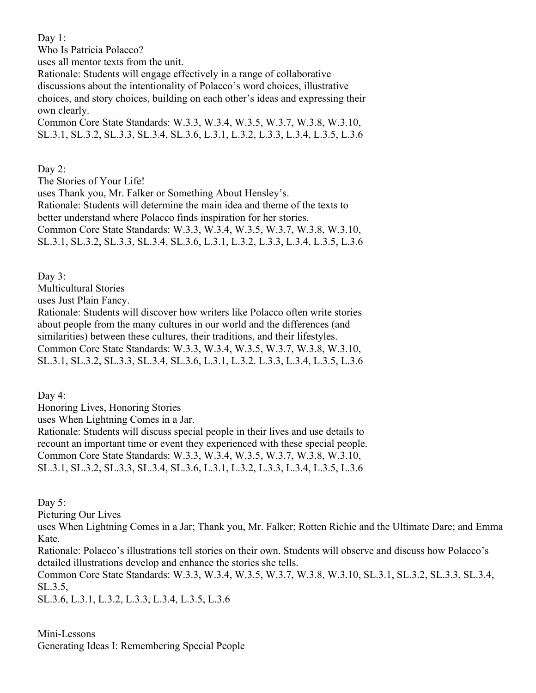Day 1:

Who Is Patricia Polacco? uses all mentor texts from the unit. Rationale: Students will engage effectively in a range of collaborative discussions about the intentionality of Polacco's word choices, illustrative choices, and story choices, building on each other's ideas and expressing their own clearly. Common Core State Standards: W.3.3, W.3.4, W.3.5, W.3.7, W.3.8, W.3.10,

SL.3.1, SL.3.2, SL.3.3, SL.3.4, SL.3.6, L.3.1, L.3.2, L.3.3, L.3.4, L.3.5, L.3.6

Day 2:

The Stories of Your Life!

uses Thank you, Mr. Falker or Something About Hensley's.

Rationale: Students will determine the main idea and theme of the texts to better understand where Polacco finds inspiration for her stories.

Common Core State Standards: W.3.3, W.3.4, W.3.5, W.3.7, W.3.8, W.3.10, SL.3.1, SL.3.2, SL.3.3, SL.3.4, SL.3.6, L.3.1, L.3.2, L.3.3, L.3.4, L.3.5, L.3.6

Day 3:

Multicultural Stories

uses Just Plain Fancy.

Rationale: Students will discover how writers like Polacco often write stories about people from the many cultures in our world and the differences (and similarities) between these cultures, their traditions, and their lifestyles. Common Core State Standards: W.3.3, W.3.4, W.3.5, W.3.7, W.3.8, W.3.10, SL.3.1, SL.3.2, SL.3.3, SL.3.4, SL.3.6, L.3.1, L.3.2. L.3.3, L.3.4, L.3.5, L.3.6

Day 4:

Honoring Lives, Honoring Stories

uses When Lightning Comes in a Jar.

Rationale: Students will discuss special people in their lives and use details to recount an important time or event they experienced with these special people. Common Core State Standards: W.3.3, W.3.4, W.3.5, W.3.7, W.3.8, W.3.10, SL.3.1, SL.3.2, SL.3.3, SL.3.4, SL.3.6, L.3.1, L.3.2, L.3.3, L.3.4, L.3.5, L.3.6

Day 5:

Picturing Our Lives

uses When Lightning Comes in a Jar; Thank you, Mr. Falker; Rotten Richie and the Ultimate Dare; and Emma Kate.

Rationale: Polacco's illustrations tell stories on their own. Students will observe and discuss how Polacco's detailed illustrations develop and enhance the stories she tells.

Common Core State Standards: W.3.3, W.3.4, W.3.5, W.3.7, W.3.8, W.3.10, SL.3.1, SL.3.2, SL.3.3, SL.3.4, SL.3.5,

SL.3.6, L.3.1, L.3.2, L.3.3, L.3.4, L.3.5, L.3.6

Mini-Lessons Generating Ideas I: Remembering Special People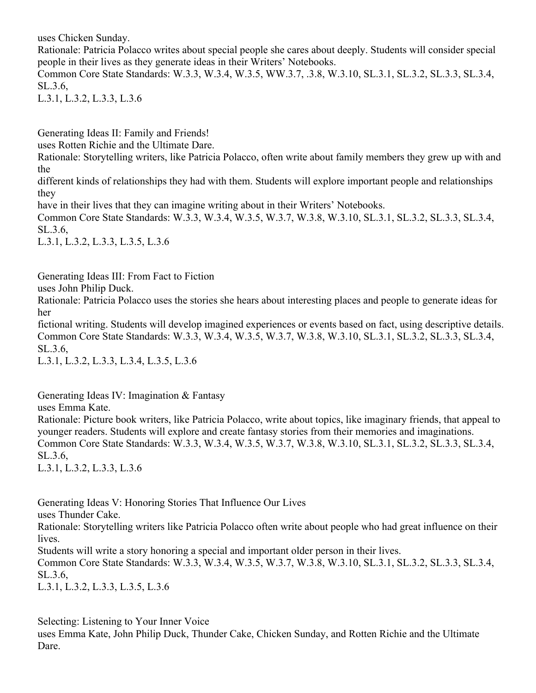uses Chicken Sunday.

Rationale: Patricia Polacco writes about special people she cares about deeply. Students will consider special people in their lives as they generate ideas in their Writers' Notebooks.

Common Core State Standards: W.3.3, W.3.4, W.3.5, WW.3.7, .3.8, W.3.10, SL.3.1, SL.3.2, SL.3.3, SL.3.4, SL.3.6,

L.3.1, L.3.2, L.3.3, L.3.6

Generating Ideas II: Family and Friends!

uses Rotten Richie and the Ultimate Dare.

Rationale: Storytelling writers, like Patricia Polacco, often write about family members they grew up with and the

different kinds of relationships they had with them. Students will explore important people and relationships they

have in their lives that they can imagine writing about in their Writers' Notebooks.

Common Core State Standards: W.3.3, W.3.4, W.3.5, W.3.7, W.3.8, W.3.10, SL.3.1, SL.3.2, SL.3.3, SL.3.4, SL.3.6,

L.3.1, L.3.2, L.3.3, L.3.5, L.3.6

Generating Ideas III: From Fact to Fiction

uses John Philip Duck.

Rationale: Patricia Polacco uses the stories she hears about interesting places and people to generate ideas for her

fictional writing. Students will develop imagined experiences or events based on fact, using descriptive details. Common Core State Standards: W.3.3, W.3.4, W.3.5, W.3.7, W.3.8, W.3.10, SL.3.1, SL.3.2, SL.3.3, SL.3.4, SL.3.6,

L.3.1, L.3.2, L.3.3, L.3.4, L.3.5, L.3.6

Generating Ideas IV: Imagination & Fantasy

uses Emma Kate.

Rationale: Picture book writers, like Patricia Polacco, write about topics, like imaginary friends, that appeal to younger readers. Students will explore and create fantasy stories from their memories and imaginations. Common Core State Standards: W.3.3, W.3.4, W.3.5, W.3.7, W.3.8, W.3.10, SL.3.1, SL.3.2, SL.3.3, SL.3.4, SL.3.6,

L.3.1, L.3.2, L.3.3, L.3.6

Generating Ideas V: Honoring Stories That Influence Our Lives

uses Thunder Cake.

Rationale: Storytelling writers like Patricia Polacco often write about people who had great influence on their lives.

Students will write a story honoring a special and important older person in their lives.

Common Core State Standards: W.3.3, W.3.4, W.3.5, W.3.7, W.3.8, W.3.10, SL.3.1, SL.3.2, SL.3.3, SL.3.4, SL.3.6,

L.3.1, L.3.2, L.3.3, L.3.5, L.3.6

Selecting: Listening to Your Inner Voice

uses Emma Kate, John Philip Duck, Thunder Cake, Chicken Sunday, and Rotten Richie and the Ultimate Dare.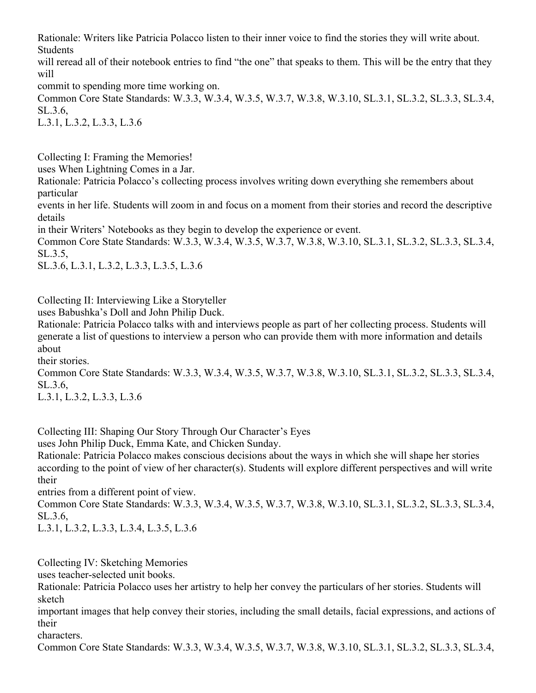Rationale: Writers like Patricia Polacco listen to their inner voice to find the stories they will write about. **Students** 

will reread all of their notebook entries to find "the one" that speaks to them. This will be the entry that they will

commit to spending more time working on.

Common Core State Standards: W.3.3, W.3.4, W.3.5, W.3.7, W.3.8, W.3.10, SL.3.1, SL.3.2, SL.3.3, SL.3.4, SL.3.6,

L.3.1, L.3.2, L.3.3, L.3.6

Collecting I: Framing the Memories!

uses When Lightning Comes in a Jar.

Rationale: Patricia Polacco's collecting process involves writing down everything she remembers about particular

events in her life. Students will zoom in and focus on a moment from their stories and record the descriptive details

in their Writers' Notebooks as they begin to develop the experience or event.

Common Core State Standards: W.3.3, W.3.4, W.3.5, W.3.7, W.3.8, W.3.10, SL.3.1, SL.3.2, SL.3.3, SL.3.4, SL.3.5,

SL.3.6, L.3.1, L.3.2, L.3.3, L.3.5, L.3.6

Collecting II: Interviewing Like a Storyteller

uses Babushka's Doll and John Philip Duck.

Rationale: Patricia Polacco talks with and interviews people as part of her collecting process. Students will generate a list of questions to interview a person who can provide them with more information and details about

their stories.

Common Core State Standards: W.3.3, W.3.4, W.3.5, W.3.7, W.3.8, W.3.10, SL.3.1, SL.3.2, SL.3.3, SL.3.4, SL.3.6,

L.3.1, L.3.2, L.3.3, L.3.6

Collecting III: Shaping Our Story Through Our Character's Eyes

uses John Philip Duck, Emma Kate, and Chicken Sunday.

Rationale: Patricia Polacco makes conscious decisions about the ways in which she will shape her stories according to the point of view of her character(s). Students will explore different perspectives and will write their

entries from a different point of view.

Common Core State Standards: W.3.3, W.3.4, W.3.5, W.3.7, W.3.8, W.3.10, SL.3.1, SL.3.2, SL.3.3, SL.3.4, SL.3.6,

L.3.1, L.3.2, L.3.3, L.3.4, L.3.5, L.3.6

Collecting IV: Sketching Memories

uses teacher-selected unit books.

Rationale: Patricia Polacco uses her artistry to help her convey the particulars of her stories. Students will sketch

important images that help convey their stories, including the small details, facial expressions, and actions of their

characters.

Common Core State Standards: W.3.3, W.3.4, W.3.5, W.3.7, W.3.8, W.3.10, SL.3.1, SL.3.2, SL.3.3, SL.3.4,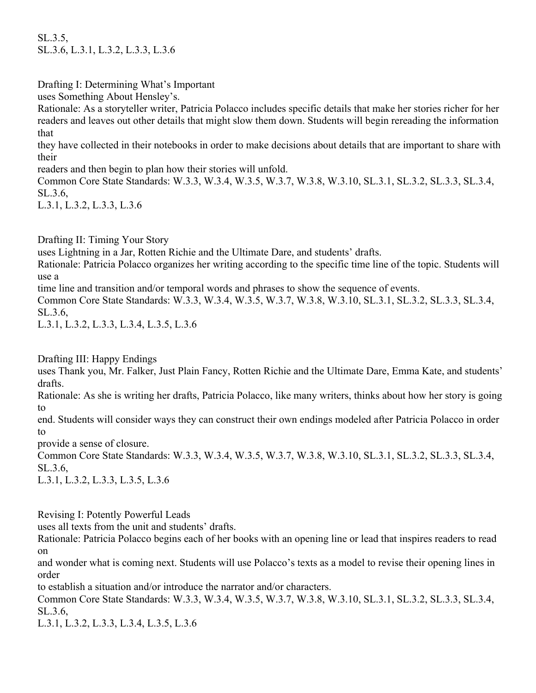SL.3.5, SL.3.6, L.3.1, L.3.2, L.3.3, L.3.6

Drafting I: Determining What's Important

uses Something About Hensley's.

Rationale: As a storyteller writer, Patricia Polacco includes specific details that make her stories richer for her readers and leaves out other details that might slow them down. Students will begin rereading the information that

they have collected in their notebooks in order to make decisions about details that are important to share with their

readers and then begin to plan how their stories will unfold.

Common Core State Standards: W.3.3, W.3.4, W.3.5, W.3.7, W.3.8, W.3.10, SL.3.1, SL.3.2, SL.3.3, SL.3.4, SL.3.6,

L.3.1, L.3.2, L.3.3, L.3.6

Drafting II: Timing Your Story

uses Lightning in a Jar, Rotten Richie and the Ultimate Dare, and students' drafts.

Rationale: Patricia Polacco organizes her writing according to the specific time line of the topic. Students will use a

time line and transition and/or temporal words and phrases to show the sequence of events.

Common Core State Standards: W.3.3, W.3.4, W.3.5, W.3.7, W.3.8, W.3.10, SL.3.1, SL.3.2, SL.3.3, SL.3.4, SL.3.6,

L.3.1, L.3.2, L.3.3, L.3.4, L.3.5, L.3.6

Drafting III: Happy Endings

uses Thank you, Mr. Falker, Just Plain Fancy, Rotten Richie and the Ultimate Dare, Emma Kate, and students' drafts.

Rationale: As she is writing her drafts, Patricia Polacco, like many writers, thinks about how her story is going to

end. Students will consider ways they can construct their own endings modeled after Patricia Polacco in order to

provide a sense of closure.

Common Core State Standards: W.3.3, W.3.4, W.3.5, W.3.7, W.3.8, W.3.10, SL.3.1, SL.3.2, SL.3.3, SL.3.4, SL.3.6,

L.3.1, L.3.2, L.3.3, L.3.5, L.3.6

Revising I: Potently Powerful Leads

uses all texts from the unit and students' drafts.

Rationale: Patricia Polacco begins each of her books with an opening line or lead that inspires readers to read on

and wonder what is coming next. Students will use Polacco's texts as a model to revise their opening lines in order

to establish a situation and/or introduce the narrator and/or characters.

Common Core State Standards: W.3.3, W.3.4, W.3.5, W.3.7, W.3.8, W.3.10, SL.3.1, SL.3.2, SL.3.3, SL.3.4, SL.3.6,

L.3.1, L.3.2, L.3.3, L.3.4, L.3.5, L.3.6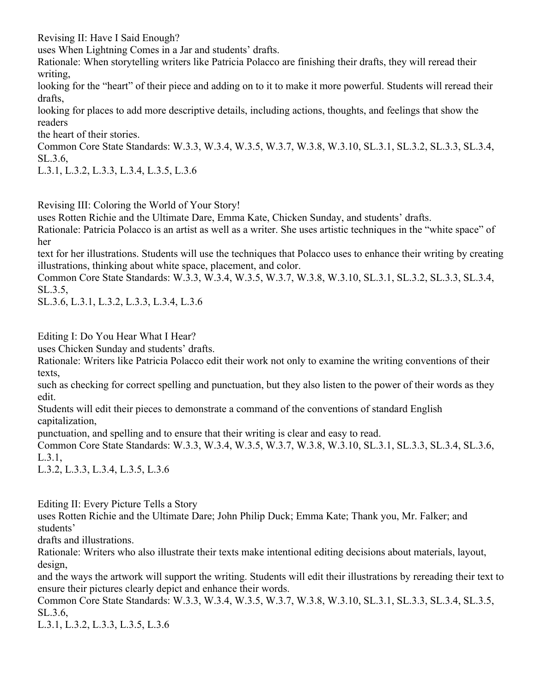Revising II: Have I Said Enough?

uses When Lightning Comes in a Jar and students' drafts.

Rationale: When storytelling writers like Patricia Polacco are finishing their drafts, they will reread their writing,

looking for the "heart" of their piece and adding on to it to make it more powerful. Students will reread their drafts,

looking for places to add more descriptive details, including actions, thoughts, and feelings that show the readers

the heart of their stories.

Common Core State Standards: W.3.3, W.3.4, W.3.5, W.3.7, W.3.8, W.3.10, SL.3.1, SL.3.2, SL.3.3, SL.3.4, SL.3.6,

L.3.1, L.3.2, L.3.3, L.3.4, L.3.5, L.3.6

Revising III: Coloring the World of Your Story!

uses Rotten Richie and the Ultimate Dare, Emma Kate, Chicken Sunday, and students' drafts.

Rationale: Patricia Polacco is an artist as well as a writer. She uses artistic techniques in the "white space" of her

text for her illustrations. Students will use the techniques that Polacco uses to enhance their writing by creating illustrations, thinking about white space, placement, and color.

Common Core State Standards: W.3.3, W.3.4, W.3.5, W.3.7, W.3.8, W.3.10, SL.3.1, SL.3.2, SL.3.3, SL.3.4, SL.3.5,

SL.3.6, L.3.1, L.3.2, L.3.3, L.3.4, L.3.6

Editing I: Do You Hear What I Hear?

uses Chicken Sunday and students' drafts.

Rationale: Writers like Patricia Polacco edit their work not only to examine the writing conventions of their texts,

such as checking for correct spelling and punctuation, but they also listen to the power of their words as they edit.

Students will edit their pieces to demonstrate a command of the conventions of standard English capitalization,

punctuation, and spelling and to ensure that their writing is clear and easy to read.

Common Core State Standards: W.3.3, W.3.4, W.3.5, W.3.7, W.3.8, W.3.10, SL.3.1, SL.3.3, SL.3.4, SL.3.6, L.3.1,

L.3.2, L.3.3, L.3.4, L.3.5, L.3.6

Editing II: Every Picture Tells a Story

uses Rotten Richie and the Ultimate Dare; John Philip Duck; Emma Kate; Thank you, Mr. Falker; and students'

drafts and illustrations.

Rationale: Writers who also illustrate their texts make intentional editing decisions about materials, layout, design,

and the ways the artwork will support the writing. Students will edit their illustrations by rereading their text to ensure their pictures clearly depict and enhance their words.

Common Core State Standards: W.3.3, W.3.4, W.3.5, W.3.7, W.3.8, W.3.10, SL.3.1, SL.3.3, SL.3.4, SL.3.5, SL.3.6,

L.3.1, L.3.2, L.3.3, L.3.5, L.3.6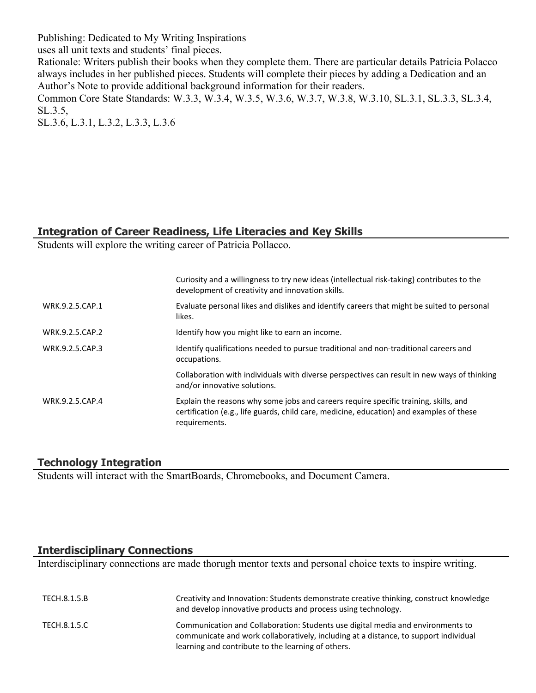Publishing: Dedicated to My Writing Inspirations

uses all unit texts and students' final pieces.

Rationale: Writers publish their books when they complete them. There are particular details Patricia Polacco always includes in her published pieces. Students will complete their pieces by adding a Dedication and an Author's Note to provide additional background information for their readers.

Common Core State Standards: W.3.3, W.3.4, W.3.5, W.3.6, W.3.7, W.3.8, W.3.10, SL.3.1, SL.3.3, SL.3.4, SL.3.5,

SL.3.6, L.3.1, L.3.2, L.3.3, L.3.6

## **Integration of Career Readiness, Life Literacies and Key Skills**

Students will explore the writing career of Patricia Pollacco.

|                 | Curiosity and a willingness to try new ideas (intellectual risk-taking) contributes to the<br>development of creativity and innovation skills.                                                    |
|-----------------|---------------------------------------------------------------------------------------------------------------------------------------------------------------------------------------------------|
| WRK.9.2.5.CAP.1 | Evaluate personal likes and dislikes and identify careers that might be suited to personal<br>likes.                                                                                              |
| WRK.9.2.5.CAP.2 | Identify how you might like to earn an income.                                                                                                                                                    |
| WRK.9.2.5.CAP.3 | Identify qualifications needed to pursue traditional and non-traditional careers and<br>occupations.                                                                                              |
|                 | Collaboration with individuals with diverse perspectives can result in new ways of thinking<br>and/or innovative solutions.                                                                       |
| WRK.9.2.5.CAP.4 | Explain the reasons why some jobs and careers require specific training, skills, and<br>certification (e.g., life guards, child care, medicine, education) and examples of these<br>requirements. |

## **Technology Integration**

Students will interact with the SmartBoards, Chromebooks, and Document Camera.

## **Interdisciplinary Connections**

Interdisciplinary connections are made thorugh mentor texts and personal choice texts to inspire writing.

| TECH.8.1.5.B | Creativity and Innovation: Students demonstrate creative thinking, construct knowledge<br>and develop innovative products and process using technology.                                                                       |
|--------------|-------------------------------------------------------------------------------------------------------------------------------------------------------------------------------------------------------------------------------|
| TECH.8.1.5.C | Communication and Collaboration: Students use digital media and environments to<br>communicate and work collaboratively, including at a distance, to support individual<br>learning and contribute to the learning of others. |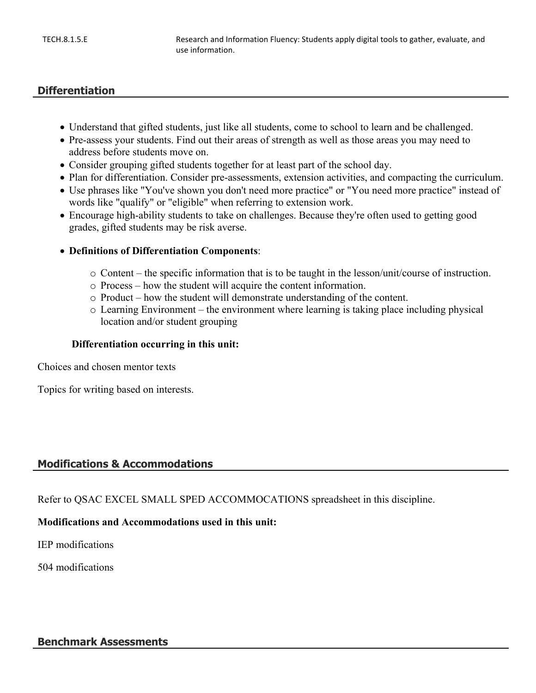## **Differentiation**

- Understand that gifted students, just like all students, come to school to learn and be challenged.
- Pre-assess your students. Find out their areas of strength as well as those areas you may need to address before students move on.
- Consider grouping gifted students together for at least part of the school day.
- Plan for differentiation. Consider pre-assessments, extension activities, and compacting the curriculum.
- Use phrases like "You've shown you don't need more practice" or "You need more practice" instead of words like "qualify" or "eligible" when referring to extension work.
- Encourage high-ability students to take on challenges. Because they're often used to getting good grades, gifted students may be risk averse.
- **Definitions of Differentiation Components**:
	- $\circ$  Content the specific information that is to be taught in the lesson/unit/course of instruction.
	- o Process how the student will acquire the content information.
	- o Product how the student will demonstrate understanding of the content.
	- o Learning Environment the environment where learning is taking place including physical location and/or student grouping

#### **Differentiation occurring in this unit:**

Choices and chosen mentor texts

Topics for writing based on interests.

## **Modifications & Accommodations**

Refer to QSAC EXCEL SMALL SPED ACCOMMOCATIONS spreadsheet in this discipline.

#### **Modifications and Accommodations used in this unit:**

IEP modifications

504 modifications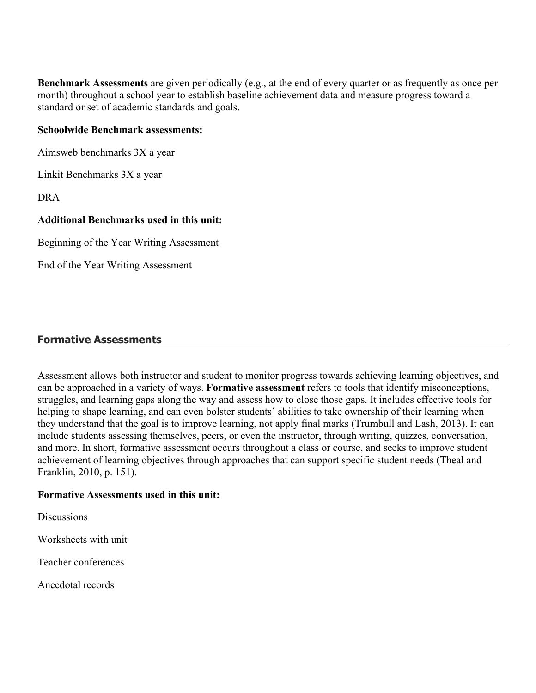**Benchmark Assessments** are given periodically (e.g., at the end of every quarter or as frequently as once per month) throughout a school year to establish baseline achievement data and measure progress toward a standard or set of academic standards and goals.

#### **Schoolwide Benchmark assessments:**

Aimsweb benchmarks 3X a year

Linkit Benchmarks 3X a year

DRA

#### **Additional Benchmarks used in this unit:**

Beginning of the Year Writing Assessment

End of the Year Writing Assessment

#### **Formative Assessments**

Assessment allows both instructor and student to monitor progress towards achieving learning objectives, and can be approached in a variety of ways. **Formative assessment** refers to tools that identify misconceptions, struggles, and learning gaps along the way and assess how to close those gaps. It includes effective tools for helping to shape learning, and can even bolster students' abilities to take ownership of their learning when they understand that the goal is to improve learning, not apply final marks (Trumbull and Lash, 2013). It can include students assessing themselves, peers, or even the instructor, through writing, quizzes, conversation, and more. In short, formative assessment occurs throughout a class or course, and seeks to improve student achievement of learning objectives through approaches that can support specific student needs (Theal and Franklin, 2010, p. 151).

#### **Formative Assessments used in this unit:**

**Discussions** 

Worksheets with unit

Teacher conferences

Anecdotal records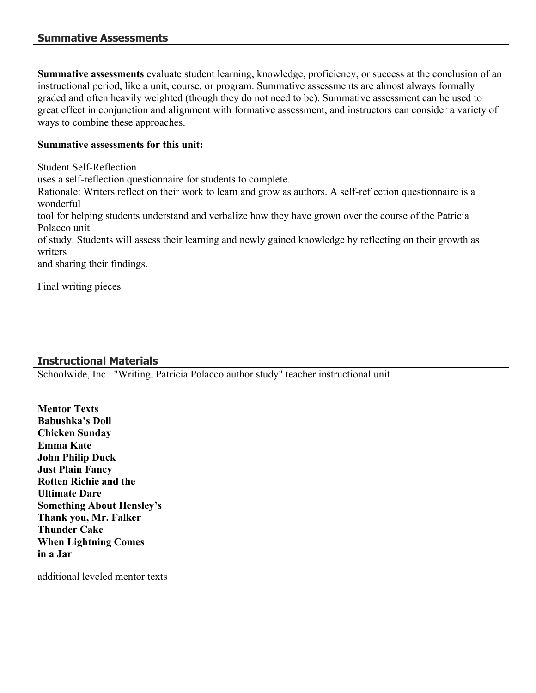**Summative assessments** evaluate student learning, knowledge, proficiency, or success at the conclusion of an instructional period, like a unit, course, or program. Summative assessments are almost always formally graded and often heavily weighted (though they do not need to be). Summative assessment can be used to great effect in conjunction and alignment with formative assessment, and instructors can consider a variety of ways to combine these approaches.

## **Summative assessments for this unit:**

Student Self-Reflection

uses a self-reflection questionnaire for students to complete.

Rationale: Writers reflect on their work to learn and grow as authors. A self-reflection questionnaire is a wonderful

tool for helping students understand and verbalize how they have grown over the course of the Patricia Polacco unit

of study. Students will assess their learning and newly gained knowledge by reflecting on their growth as writers

and sharing their findings.

Final writing pieces

## **Instructional Materials**

Schoolwide, Inc. "Writing, Patricia Polacco author study" teacher instructional unit

**Mentor Texts Babushka's Doll Chicken Sunday Emma Kate John Philip Duck Just Plain Fancy Rotten Richie and the Ultimate Dare Something About Hensley's Thank you, Mr. Falker Thunder Cake When Lightning Comes in a Jar**

additional leveled mentor texts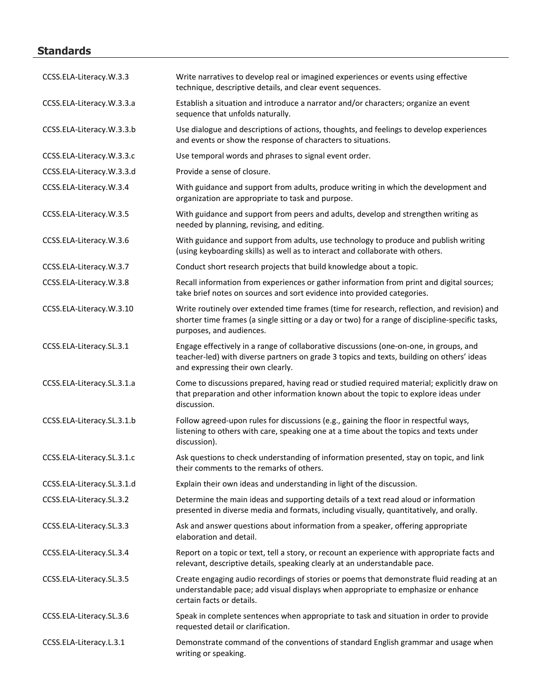## **Standards**

| CCSS.ELA-Literacy.W.3.3    | Write narratives to develop real or imagined experiences or events using effective<br>technique, descriptive details, and clear event sequences.                                                                            |
|----------------------------|-----------------------------------------------------------------------------------------------------------------------------------------------------------------------------------------------------------------------------|
| CCSS.ELA-Literacy.W.3.3.a  | Establish a situation and introduce a narrator and/or characters; organize an event<br>sequence that unfolds naturally.                                                                                                     |
| CCSS.ELA-Literacy.W.3.3.b  | Use dialogue and descriptions of actions, thoughts, and feelings to develop experiences<br>and events or show the response of characters to situations.                                                                     |
| CCSS.ELA-Literacy.W.3.3.c  | Use temporal words and phrases to signal event order.                                                                                                                                                                       |
| CCSS.ELA-Literacy.W.3.3.d  | Provide a sense of closure.                                                                                                                                                                                                 |
| CCSS.ELA-Literacy.W.3.4    | With guidance and support from adults, produce writing in which the development and<br>organization are appropriate to task and purpose.                                                                                    |
| CCSS.ELA-Literacy.W.3.5    | With guidance and support from peers and adults, develop and strengthen writing as<br>needed by planning, revising, and editing.                                                                                            |
| CCSS.ELA-Literacy.W.3.6    | With guidance and support from adults, use technology to produce and publish writing<br>(using keyboarding skills) as well as to interact and collaborate with others.                                                      |
| CCSS.ELA-Literacy.W.3.7    | Conduct short research projects that build knowledge about a topic.                                                                                                                                                         |
| CCSS.ELA-Literacy.W.3.8    | Recall information from experiences or gather information from print and digital sources;<br>take brief notes on sources and sort evidence into provided categories.                                                        |
| CCSS.ELA-Literacy.W.3.10   | Write routinely over extended time frames (time for research, reflection, and revision) and<br>shorter time frames (a single sitting or a day or two) for a range of discipline-specific tasks,<br>purposes, and audiences. |
| CCSS.ELA-Literacy.SL.3.1   | Engage effectively in a range of collaborative discussions (one-on-one, in groups, and<br>teacher-led) with diverse partners on grade 3 topics and texts, building on others' ideas<br>and expressing their own clearly.    |
| CCSS.ELA-Literacy.SL.3.1.a | Come to discussions prepared, having read or studied required material; explicitly draw on<br>that preparation and other information known about the topic to explore ideas under<br>discussion.                            |
| CCSS.ELA-Literacy.SL.3.1.b | Follow agreed-upon rules for discussions (e.g., gaining the floor in respectful ways,<br>listening to others with care, speaking one at a time about the topics and texts under<br>discussion).                             |
| CCSS.ELA-Literacy.SL.3.1.c | Ask questions to check understanding of information presented, stay on topic, and link<br>their comments to the remarks of others.                                                                                          |
| CCSS.ELA-Literacy.SL.3.1.d | Explain their own ideas and understanding in light of the discussion.                                                                                                                                                       |
| CCSS.ELA-Literacy.SL.3.2   | Determine the main ideas and supporting details of a text read aloud or information<br>presented in diverse media and formats, including visually, quantitatively, and orally.                                              |
| CCSS.ELA-Literacy.SL.3.3   | Ask and answer questions about information from a speaker, offering appropriate<br>elaboration and detail.                                                                                                                  |
| CCSS.ELA-Literacy.SL.3.4   | Report on a topic or text, tell a story, or recount an experience with appropriate facts and<br>relevant, descriptive details, speaking clearly at an understandable pace.                                                  |
| CCSS.ELA-Literacy.SL.3.5   | Create engaging audio recordings of stories or poems that demonstrate fluid reading at an<br>understandable pace; add visual displays when appropriate to emphasize or enhance<br>certain facts or details.                 |
| CCSS.ELA-Literacy.SL.3.6   | Speak in complete sentences when appropriate to task and situation in order to provide<br>requested detail or clarification.                                                                                                |
| CCSS.ELA-Literacy.L.3.1    | Demonstrate command of the conventions of standard English grammar and usage when<br>writing or speaking.                                                                                                                   |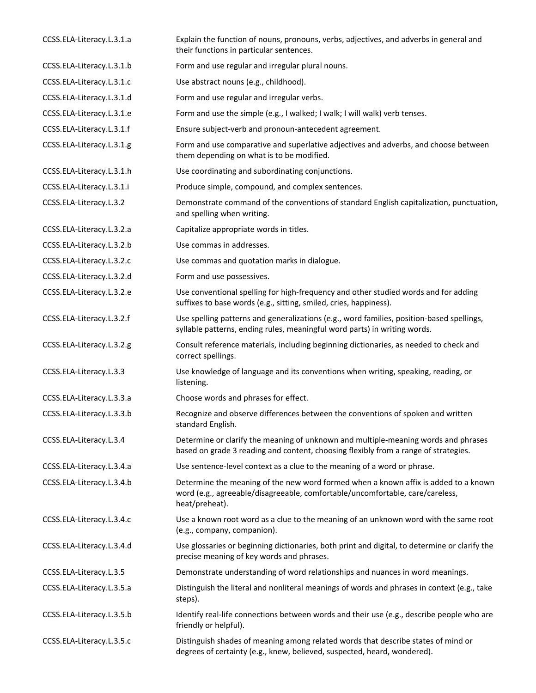| CCSS.ELA-Literacy.L.3.1.a | Explain the function of nouns, pronouns, verbs, adjectives, and adverbs in general and<br>their functions in particular sentences.                                                     |
|---------------------------|----------------------------------------------------------------------------------------------------------------------------------------------------------------------------------------|
| CCSS.ELA-Literacy.L.3.1.b | Form and use regular and irregular plural nouns.                                                                                                                                       |
| CCSS.ELA-Literacy.L.3.1.c | Use abstract nouns (e.g., childhood).                                                                                                                                                  |
| CCSS.ELA-Literacy.L.3.1.d | Form and use regular and irregular verbs.                                                                                                                                              |
| CCSS.ELA-Literacy.L.3.1.e | Form and use the simple (e.g., I walked; I walk; I will walk) verb tenses.                                                                                                             |
| CCSS.ELA-Literacy.L.3.1.f | Ensure subject-verb and pronoun-antecedent agreement.                                                                                                                                  |
| CCSS.ELA-Literacy.L.3.1.g | Form and use comparative and superlative adjectives and adverbs, and choose between<br>them depending on what is to be modified.                                                       |
| CCSS.ELA-Literacy.L.3.1.h | Use coordinating and subordinating conjunctions.                                                                                                                                       |
| CCSS.ELA-Literacy.L.3.1.i | Produce simple, compound, and complex sentences.                                                                                                                                       |
| CCSS.ELA-Literacy.L.3.2   | Demonstrate command of the conventions of standard English capitalization, punctuation,<br>and spelling when writing.                                                                  |
| CCSS.ELA-Literacy.L.3.2.a | Capitalize appropriate words in titles.                                                                                                                                                |
| CCSS.ELA-Literacy.L.3.2.b | Use commas in addresses.                                                                                                                                                               |
| CCSS.ELA-Literacy.L.3.2.c | Use commas and quotation marks in dialogue.                                                                                                                                            |
| CCSS.ELA-Literacy.L.3.2.d | Form and use possessives.                                                                                                                                                              |
| CCSS.ELA-Literacy.L.3.2.e | Use conventional spelling for high-frequency and other studied words and for adding<br>suffixes to base words (e.g., sitting, smiled, cries, happiness).                               |
| CCSS.ELA-Literacy.L.3.2.f | Use spelling patterns and generalizations (e.g., word families, position-based spellings,<br>syllable patterns, ending rules, meaningful word parts) in writing words.                 |
| CCSS.ELA-Literacy.L.3.2.g | Consult reference materials, including beginning dictionaries, as needed to check and<br>correct spellings.                                                                            |
| CCSS.ELA-Literacy.L.3.3   | Use knowledge of language and its conventions when writing, speaking, reading, or<br>listening.                                                                                        |
| CCSS.ELA-Literacy.L.3.3.a | Choose words and phrases for effect.                                                                                                                                                   |
| CCSS.ELA-Literacy.L.3.3.b | Recognize and observe differences between the conventions of spoken and written<br>standard English.                                                                                   |
| CCSS.ELA-Literacy.L.3.4   | Determine or clarify the meaning of unknown and multiple-meaning words and phrases<br>based on grade 3 reading and content, choosing flexibly from a range of strategies.              |
| CCSS.ELA-Literacy.L.3.4.a | Use sentence-level context as a clue to the meaning of a word or phrase.                                                                                                               |
| CCSS.ELA-Literacy.L.3.4.b | Determine the meaning of the new word formed when a known affix is added to a known<br>word (e.g., agreeable/disagreeable, comfortable/uncomfortable, care/careless,<br>heat/preheat). |
| CCSS.ELA-Literacy.L.3.4.c | Use a known root word as a clue to the meaning of an unknown word with the same root<br>(e.g., company, companion).                                                                    |
| CCSS.ELA-Literacy.L.3.4.d | Use glossaries or beginning dictionaries, both print and digital, to determine or clarify the<br>precise meaning of key words and phrases.                                             |
| CCSS.ELA-Literacy.L.3.5   | Demonstrate understanding of word relationships and nuances in word meanings.                                                                                                          |
| CCSS.ELA-Literacy.L.3.5.a | Distinguish the literal and nonliteral meanings of words and phrases in context (e.g., take<br>steps).                                                                                 |
| CCSS.ELA-Literacy.L.3.5.b | Identify real-life connections between words and their use (e.g., describe people who are<br>friendly or helpful).                                                                     |
| CCSS.ELA-Literacy.L.3.5.c | Distinguish shades of meaning among related words that describe states of mind or<br>degrees of certainty (e.g., knew, believed, suspected, heard, wondered).                          |